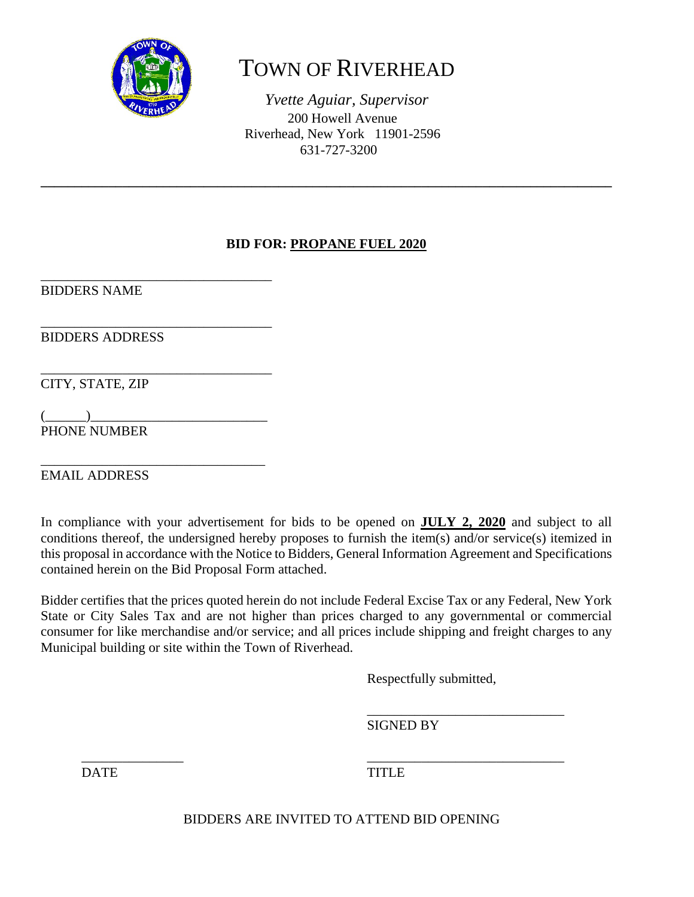

# TOWN OF RIVERHEAD

*Yvette Aguiar, Supervisor*  200 Howell Avenue Riverhead, New York 11901-2596 631-727-3200

# **BID FOR: PROPANE FUEL 2020**

**\_\_\_\_\_\_\_\_\_\_\_\_\_\_\_\_\_\_\_\_\_\_\_\_\_\_\_\_\_\_\_\_\_\_\_\_\_\_\_\_\_\_\_\_\_\_\_\_\_\_\_\_\_\_\_\_\_\_\_\_\_\_\_\_\_\_\_\_\_\_\_\_\_\_\_\_\_\_\_\_\_\_\_\_** 

\_\_\_\_\_\_\_\_\_\_\_\_\_\_\_\_\_\_\_\_\_\_\_\_\_\_\_\_\_\_\_\_\_\_ BIDDERS NAME

\_\_\_\_\_\_\_\_\_\_\_\_\_\_\_\_\_\_\_\_\_\_\_\_\_\_\_\_\_\_\_\_\_\_ BIDDERS ADDRESS

CITY, STATE, ZIP

 $($   $)$ PHONE NUMBER

\_\_\_\_\_\_\_\_\_\_\_\_\_\_\_\_\_\_\_\_\_\_\_\_\_\_\_\_\_\_\_\_\_\_

\_\_\_\_\_\_\_\_\_\_\_\_\_\_\_\_\_\_\_\_\_\_\_\_\_\_\_\_\_\_\_\_\_ EMAIL ADDRESS

In compliance with your advertisement for bids to be opened on **JULY 2, 2020** and subject to all conditions thereof, the undersigned hereby proposes to furnish the item(s) and/or service(s) itemized in this proposal in accordance with the Notice to Bidders, General Information Agreement and Specifications contained herein on the Bid Proposal Form attached.

Bidder certifies that the prices quoted herein do not include Federal Excise Tax or any Federal, New York State or City Sales Tax and are not higher than prices charged to any governmental or commercial consumer for like merchandise and/or service; and all prices include shipping and freight charges to any Municipal building or site within the Town of Riverhead.

 $\overline{\phantom{a}}$  ,  $\overline{\phantom{a}}$  ,  $\overline{\phantom{a}}$  ,  $\overline{\phantom{a}}$  ,  $\overline{\phantom{a}}$  ,  $\overline{\phantom{a}}$  ,  $\overline{\phantom{a}}$  ,  $\overline{\phantom{a}}$  ,  $\overline{\phantom{a}}$  ,  $\overline{\phantom{a}}$  ,  $\overline{\phantom{a}}$  ,  $\overline{\phantom{a}}$  ,  $\overline{\phantom{a}}$  ,  $\overline{\phantom{a}}$  ,  $\overline{\phantom{a}}$  ,  $\overline{\phantom{a}}$ 

Respectfully submitted,

 $\overline{\phantom{a}}$  , and the contract of the contract of the contract of the contract of the contract of the contract of the contract of the contract of the contract of the contract of the contract of the contract of the contrac SIGNED BY

DATE TITLE

BIDDERS ARE INVITED TO ATTEND BID OPENING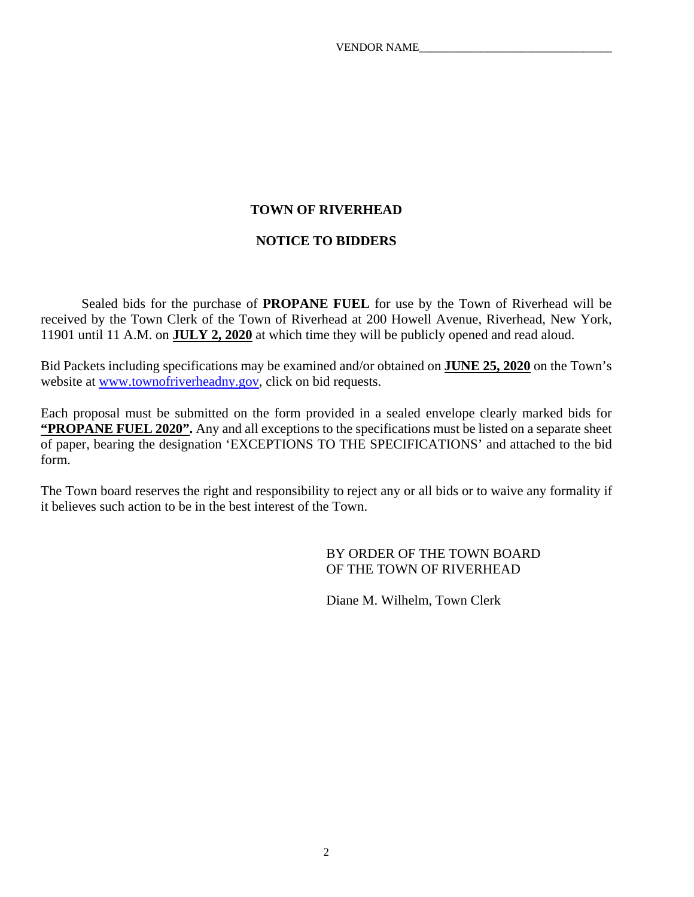# **TOWN OF RIVERHEAD**

# **NOTICE TO BIDDERS**

 Sealed bids for the purchase of **PROPANE FUEL** for use by the Town of Riverhead will be received by the Town Clerk of the Town of Riverhead at 200 Howell Avenue, Riverhead, New York, 11901 until 11 A.M. on **JULY 2, 2020** at which time they will be publicly opened and read aloud.

Bid Packets including specifications may be examined and/or obtained on **JUNE 25, 2020** on the Town's website at www.townofriverheadny.gov, click on bid requests.

Each proposal must be submitted on the form provided in a sealed envelope clearly marked bids for **"PROPANE FUEL 2020".** Any and all exceptions to the specifications must be listed on a separate sheet of paper, bearing the designation 'EXCEPTIONS TO THE SPECIFICATIONS' and attached to the bid form.

The Town board reserves the right and responsibility to reject any or all bids or to waive any formality if it believes such action to be in the best interest of the Town.

> BY ORDER OF THE TOWN BOARD OF THE TOWN OF RIVERHEAD

Diane M. Wilhelm, Town Clerk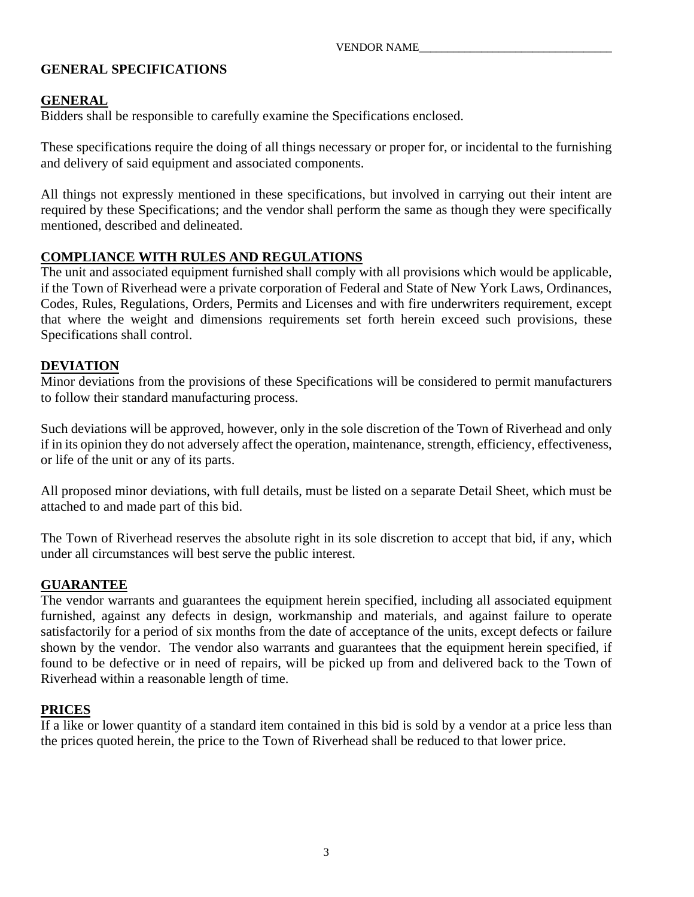# **GENERAL SPECIFICATIONS**

# **GENERAL**

Bidders shall be responsible to carefully examine the Specifications enclosed.

These specifications require the doing of all things necessary or proper for, or incidental to the furnishing and delivery of said equipment and associated components.

All things not expressly mentioned in these specifications, but involved in carrying out their intent are required by these Specifications; and the vendor shall perform the same as though they were specifically mentioned, described and delineated.

# **COMPLIANCE WITH RULES AND REGULATIONS**

The unit and associated equipment furnished shall comply with all provisions which would be applicable, if the Town of Riverhead were a private corporation of Federal and State of New York Laws, Ordinances, Codes, Rules, Regulations, Orders, Permits and Licenses and with fire underwriters requirement, except that where the weight and dimensions requirements set forth herein exceed such provisions, these Specifications shall control.

# **DEVIATION**

Minor deviations from the provisions of these Specifications will be considered to permit manufacturers to follow their standard manufacturing process.

Such deviations will be approved, however, only in the sole discretion of the Town of Riverhead and only if in its opinion they do not adversely affect the operation, maintenance, strength, efficiency, effectiveness, or life of the unit or any of its parts.

All proposed minor deviations, with full details, must be listed on a separate Detail Sheet, which must be attached to and made part of this bid.

The Town of Riverhead reserves the absolute right in its sole discretion to accept that bid, if any, which under all circumstances will best serve the public interest.

#### **GUARANTEE**

The vendor warrants and guarantees the equipment herein specified, including all associated equipment furnished, against any defects in design, workmanship and materials, and against failure to operate satisfactorily for a period of six months from the date of acceptance of the units, except defects or failure shown by the vendor. The vendor also warrants and guarantees that the equipment herein specified, if found to be defective or in need of repairs, will be picked up from and delivered back to the Town of Riverhead within a reasonable length of time.

#### **PRICES**

If a like or lower quantity of a standard item contained in this bid is sold by a vendor at a price less than the prices quoted herein, the price to the Town of Riverhead shall be reduced to that lower price.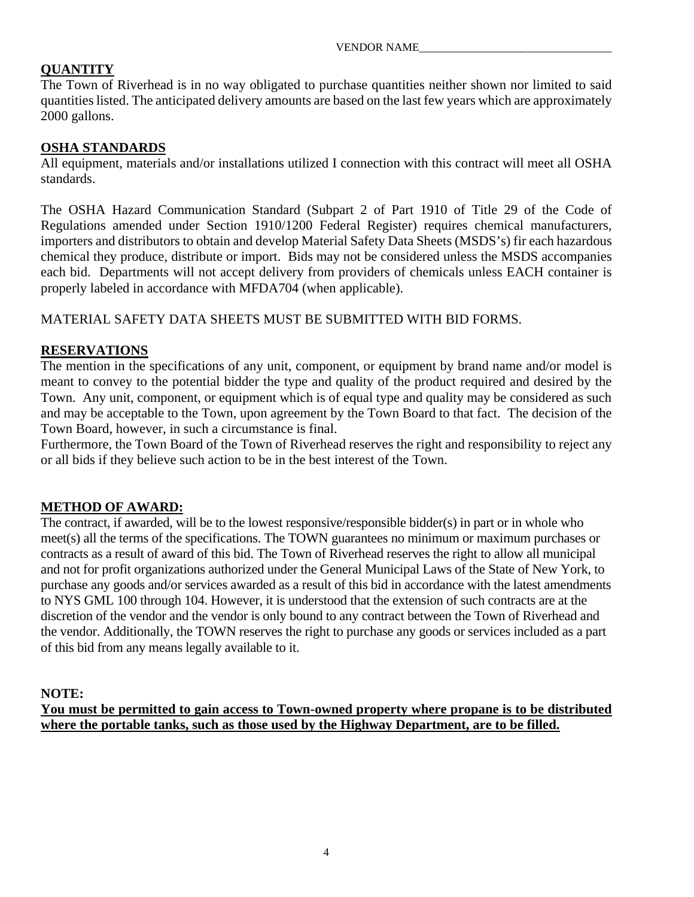# **QUANTITY**

The Town of Riverhead is in no way obligated to purchase quantities neither shown nor limited to said quantities listed. The anticipated delivery amounts are based on the last few years which are approximately 2000 gallons.

# **OSHA STANDARDS**

All equipment, materials and/or installations utilized I connection with this contract will meet all OSHA standards.

The OSHA Hazard Communication Standard (Subpart 2 of Part 1910 of Title 29 of the Code of Regulations amended under Section 1910/1200 Federal Register) requires chemical manufacturers, importers and distributors to obtain and develop Material Safety Data Sheets (MSDS's) fir each hazardous chemical they produce, distribute or import. Bids may not be considered unless the MSDS accompanies each bid. Departments will not accept delivery from providers of chemicals unless EACH container is properly labeled in accordance with MFDA704 (when applicable).

MATERIAL SAFETY DATA SHEETS MUST BE SUBMITTED WITH BID FORMS.

# **RESERVATIONS**

The mention in the specifications of any unit, component, or equipment by brand name and/or model is meant to convey to the potential bidder the type and quality of the product required and desired by the Town. Any unit, component, or equipment which is of equal type and quality may be considered as such and may be acceptable to the Town, upon agreement by the Town Board to that fact. The decision of the Town Board, however, in such a circumstance is final.

Furthermore, the Town Board of the Town of Riverhead reserves the right and responsibility to reject any or all bids if they believe such action to be in the best interest of the Town.

# **METHOD OF AWARD:**

The contract, if awarded, will be to the lowest responsive/responsible bidder(s) in part or in whole who meet(s) all the terms of the specifications. The TOWN guarantees no minimum or maximum purchases or contracts as a result of award of this bid. The Town of Riverhead reserves the right to allow all municipal and not for profit organizations authorized under the General Municipal Laws of the State of New York, to purchase any goods and/or services awarded as a result of this bid in accordance with the latest amendments to NYS GML 100 through 104. However, it is understood that the extension of such contracts are at the discretion of the vendor and the vendor is only bound to any contract between the Town of Riverhead and the vendor. Additionally, the TOWN reserves the right to purchase any goods or services included as a part of this bid from any means legally available to it.

#### **NOTE:**

**You must be permitted to gain access to Town-owned property where propane is to be distributed where the portable tanks, such as those used by the Highway Department, are to be filled.**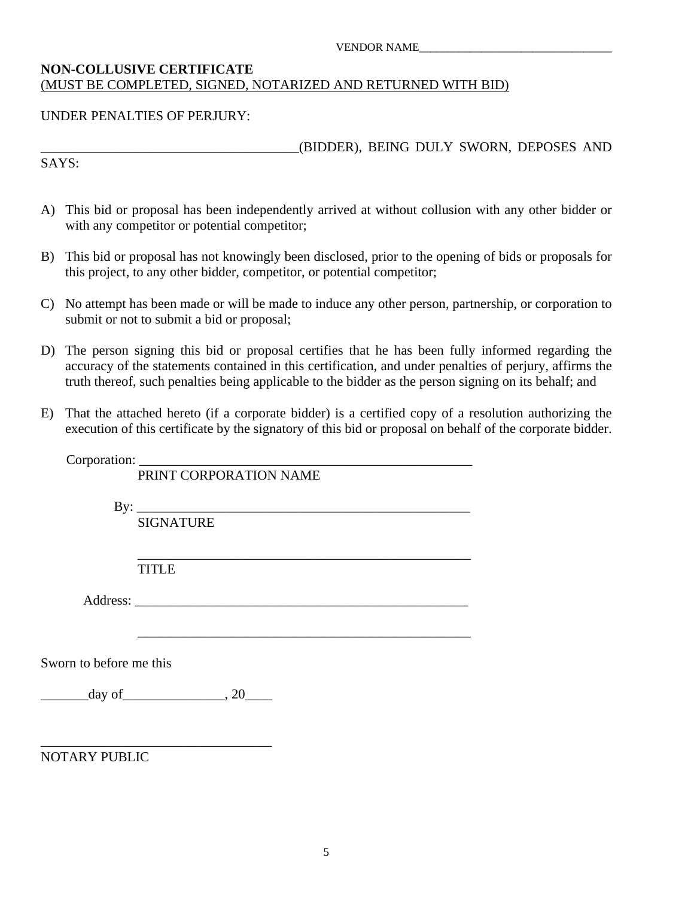#### **NON-COLLUSIVE CERTIFICATE**  (MUST BE COMPLETED, SIGNED, NOTARIZED AND RETURNED WITH BID)

#### UNDER PENALTIES OF PERJURY:

\_\_\_\_\_\_\_\_\_\_\_\_\_\_\_\_\_\_\_\_\_\_\_\_\_\_\_\_\_\_\_\_\_\_\_\_\_\_(BIDDER), BEING DULY SWORN, DEPOSES AND

SAYS:

- A) This bid or proposal has been independently arrived at without collusion with any other bidder or with any competitor or potential competitor;
- B) This bid or proposal has not knowingly been disclosed, prior to the opening of bids or proposals for this project, to any other bidder, competitor, or potential competitor;
- C) No attempt has been made or will be made to induce any other person, partnership, or corporation to submit or not to submit a bid or proposal;
- D) The person signing this bid or proposal certifies that he has been fully informed regarding the accuracy of the statements contained in this certification, and under penalties of perjury, affirms the truth thereof, such penalties being applicable to the bidder as the person signing on its behalf; and
- E) That the attached hereto (if a corporate bidder) is a certified copy of a resolution authorizing the execution of this certificate by the signatory of this bid or proposal on behalf of the corporate bidder.

|                         | Corporation: PRINT CORPORATION NAME        |
|-------------------------|--------------------------------------------|
|                         |                                            |
|                         | <b>SIGNATURE</b>                           |
|                         | <b>TITLE</b>                               |
|                         |                                            |
| Sworn to before me this |                                            |
|                         | $\frac{\text{day of}}{\text{day of}}$ , 20 |
| <b>NOTARY PUBLIC</b>    |                                            |
|                         |                                            |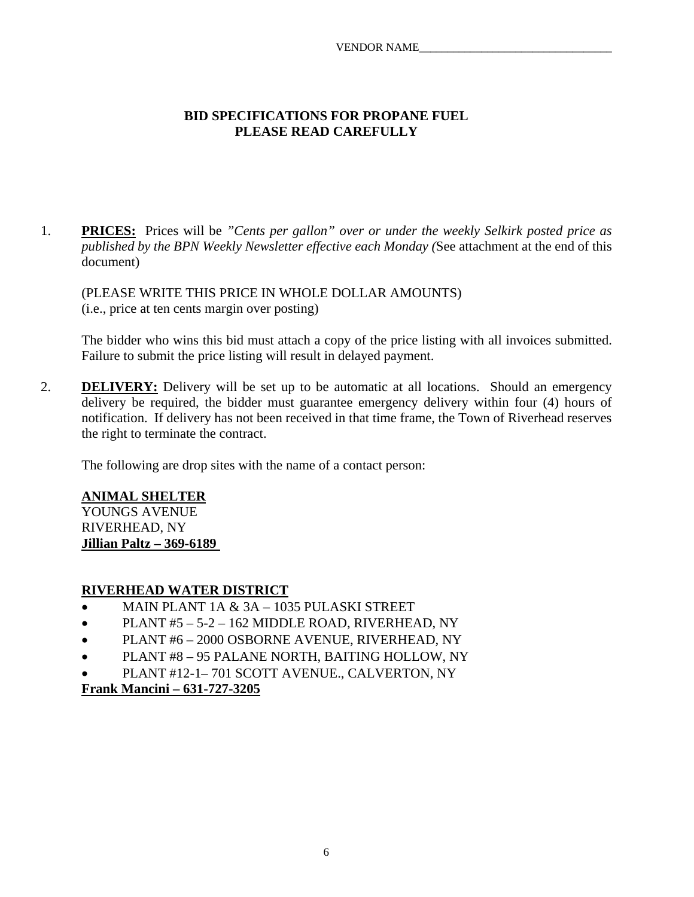#### **BID SPECIFICATIONS FOR PROPANE FUEL PLEASE READ CAREFULLY**

1. **PRICES:** Prices will be *"Cents per gallon" over or under the weekly Selkirk posted price as published by the BPN Weekly Newsletter effective each Monday (*See attachment at the end of this document)

 (PLEASE WRITE THIS PRICE IN WHOLE DOLLAR AMOUNTS) (i.e., price at ten cents margin over posting)

 The bidder who wins this bid must attach a copy of the price listing with all invoices submitted. Failure to submit the price listing will result in delayed payment.

2. **DELIVERY:** Delivery will be set up to be automatic at all locations. Should an emergency delivery be required, the bidder must guarantee emergency delivery within four (4) hours of notification. If delivery has not been received in that time frame, the Town of Riverhead reserves the right to terminate the contract.

The following are drop sites with the name of a contact person:

#### **ANIMAL SHELTER**

YOUNGS AVENUE RIVERHEAD, NY **Jillian Paltz – 369-6189** 

#### **RIVERHEAD WATER DISTRICT**

- MAIN PLANT 1A & 3A 1035 PULASKI STREET
- $\bullet$  PLANT #5 5-2 162 MIDDLE ROAD, RIVERHEAD, NY
- PLANT #6 2000 OSBORNE AVENUE, RIVERHEAD, NY
- PLANT #8 95 PALANE NORTH, BAITING HOLLOW, NY
- PLANT #12-1– 701 SCOTT AVENUE., CALVERTON, NY

**Frank Mancini – 631-727-3205**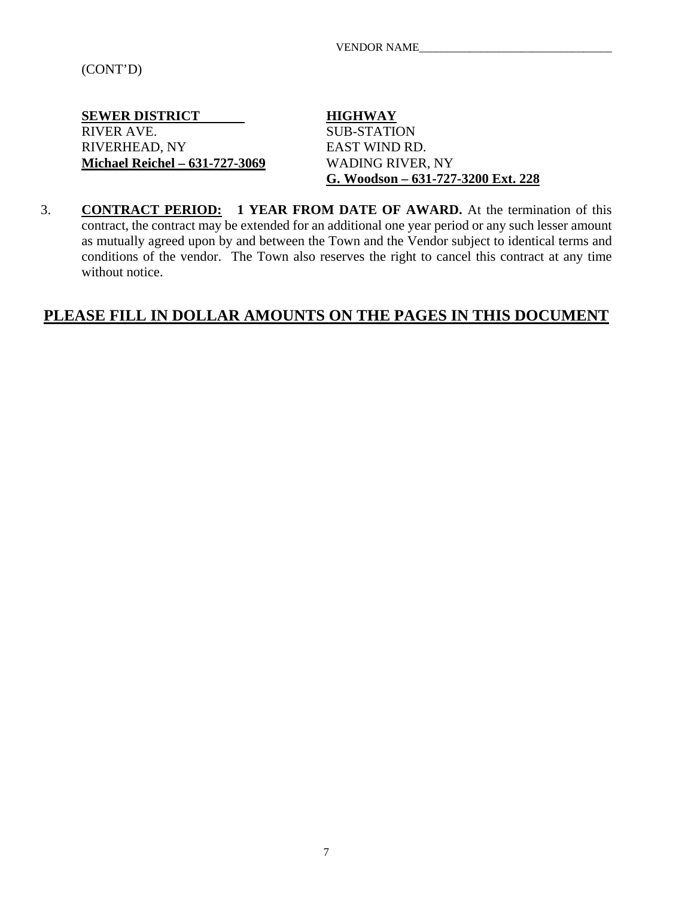(CONT'D)

**SEWER DISTRICT HIGHWAY**<br>RIVER AVE. SUB-STATIC RIVERHEAD, NY EAST WIND RD. **Michael Reichel – 631-727-3069** WADING RIVER, NY

**SUB-STATION G. Woodson – 631-727-3200 Ext. 228** 

3. **CONTRACT PERIOD: 1 YEAR FROM DATE OF AWARD.** At the termination of this contract, the contract may be extended for an additional one year period or any such lesser amount as mutually agreed upon by and between the Town and the Vendor subject to identical terms and conditions of the vendor. The Town also reserves the right to cancel this contract at any time without notice.

# **PLEASE FILL IN DOLLAR AMOUNTS ON THE PAGES IN THIS DOCUMENT**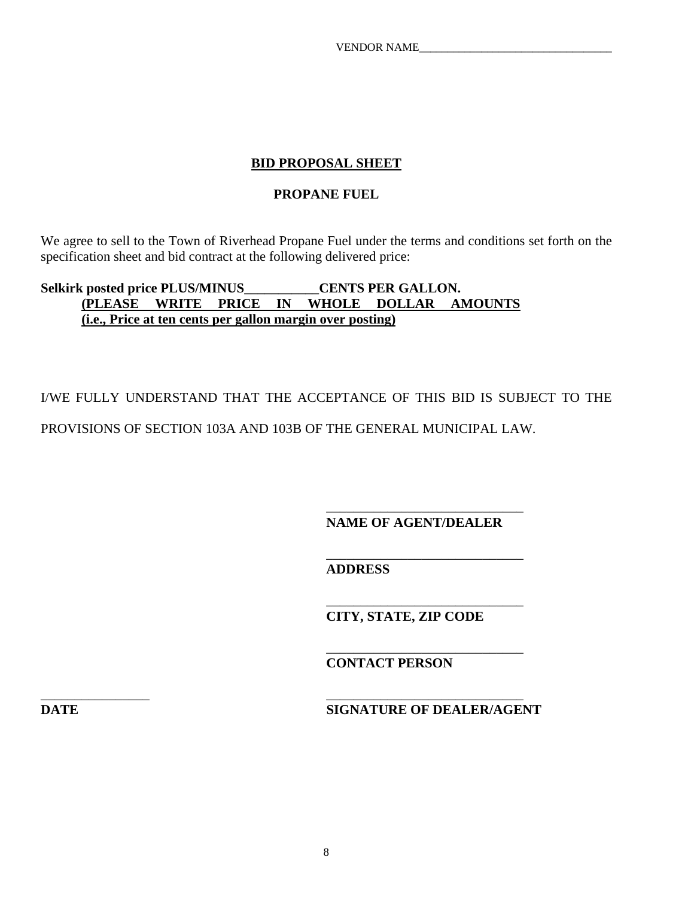# **BID PROPOSAL SHEET**

#### **PROPANE FUEL**

We agree to sell to the Town of Riverhead Propane Fuel under the terms and conditions set forth on the specification sheet and bid contract at the following delivered price:

# Selkirk posted price PLUS/MINUS CENTS PER GALLON. **(PLEASE WRITE PRICE IN WHOLE DOLLAR AMOUNTS (i.e., Price at ten cents per gallon margin over posting)**

 $\overline{\phantom{a}}$  , and the contract of the contract of the contract of the contract of the contract of the contract of the contract of the contract of the contract of the contract of the contract of the contract of the contrac

 $\overline{\phantom{a}}$  , and the contract of the contract of the contract of the contract of the contract of the contract of the contract of the contract of the contract of the contract of the contract of the contract of the contrac

\_\_\_\_\_\_\_\_\_\_\_\_\_\_\_\_ \_\_\_\_\_\_\_\_\_\_\_\_\_\_\_\_\_\_\_\_\_\_\_\_\_\_\_\_\_

I/WE FULLY UNDERSTAND THAT THE ACCEPTANCE OF THIS BID IS SUBJECT TO THE PROVISIONS OF SECTION 103A AND 103B OF THE GENERAL MUNICIPAL LAW.

 $\overline{\phantom{a}}$  , and the contract of the contract of the contract of the contract of the contract of the contract of the contract of the contract of the contract of the contract of the contract of the contract of the contrac  **NAME OF AGENT/DEALER** 

 $\overline{\phantom{a}}$  , and the contract of the contract of the contract of the contract of the contract of the contract of the contract of the contract of the contract of the contract of the contract of the contract of the contrac **ADDRESS** 

 **CITY, STATE, ZIP CODE** 

 **CONTACT PERSON** 

**DATE** SIGNATURE OF DEALER/AGENT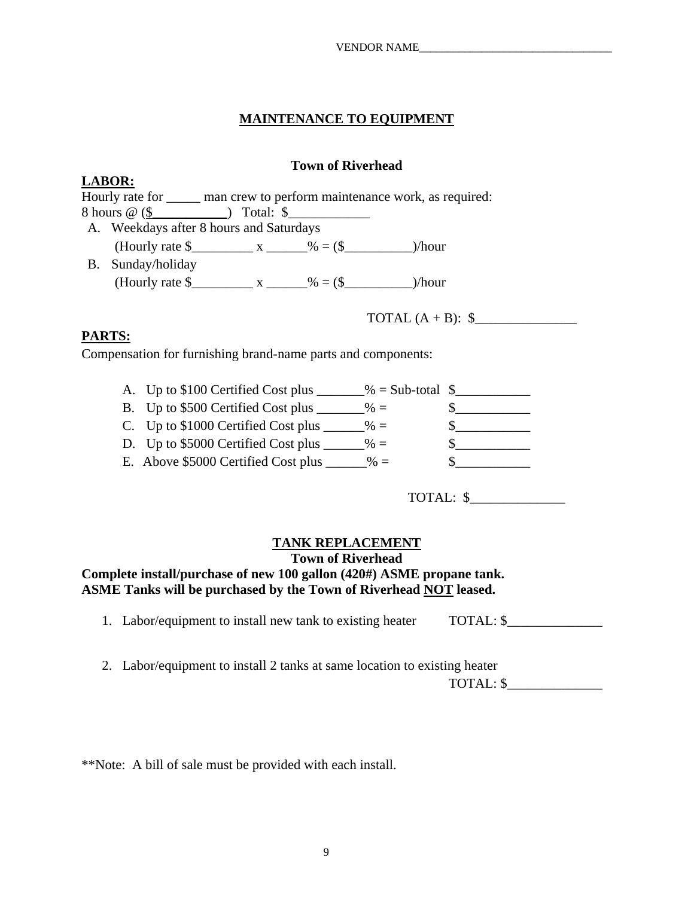# **MAINTENANCE TO EQUIPMENT**

#### **Town of Riverhead**

|            | LADUN.                                                    |  |                                                                           |  |
|------------|-----------------------------------------------------------|--|---------------------------------------------------------------------------|--|
|            |                                                           |  | Hourly rate for <u>man crew</u> to perform maintenance work, as required: |  |
|            |                                                           |  |                                                                           |  |
|            | A. Weekdays after 8 hours and Saturdays                   |  |                                                                           |  |
|            |                                                           |  |                                                                           |  |
| <b>B</b> . | Sunday/holiday                                            |  |                                                                           |  |
|            | (Hourly rate $\frac{1}{2}$ x ______ % = (\$ ______ )/hour |  |                                                                           |  |
|            |                                                           |  |                                                                           |  |
|            |                                                           |  | TOTAL $(A + B)$ : $\$                                                     |  |
|            |                                                           |  |                                                                           |  |

# **PARTS:**

**LABOD.** 

Compensation for furnishing brand-name parts and components:

| A. Up to \$100 Certified Cost plus  | $\%$ = Sub-total $\$\$ |  |
|-------------------------------------|------------------------|--|
| B. Up to \$500 Certified Cost plus  | $\% =$                 |  |
| C. Up to \$1000 Certified Cost plus | $\% =$                 |  |
| D. Up to \$5000 Certified Cost plus | $\% =$                 |  |
| E. Above \$5000 Certified Cost plus | $\% =$                 |  |

TOTAL: \$\_\_\_\_\_\_\_\_\_\_\_\_\_\_

#### **TANK REPLACEMENT**

#### **Town of Riverhead**

#### **Complete install/purchase of new 100 gallon (420#) ASME propane tank. ASME Tanks will be purchased by the Town of Riverhead NOT leased.**

| 1. Labor/equipment to install new tank to existing heater | TOTAL: \$ |
|-----------------------------------------------------------|-----------|
|-----------------------------------------------------------|-----------|

2. Labor/equipment to install 2 tanks at same location to existing heater TOTAL: \$\_\_\_\_\_\_\_\_\_\_\_\_\_\_

\*\*Note: A bill of sale must be provided with each install.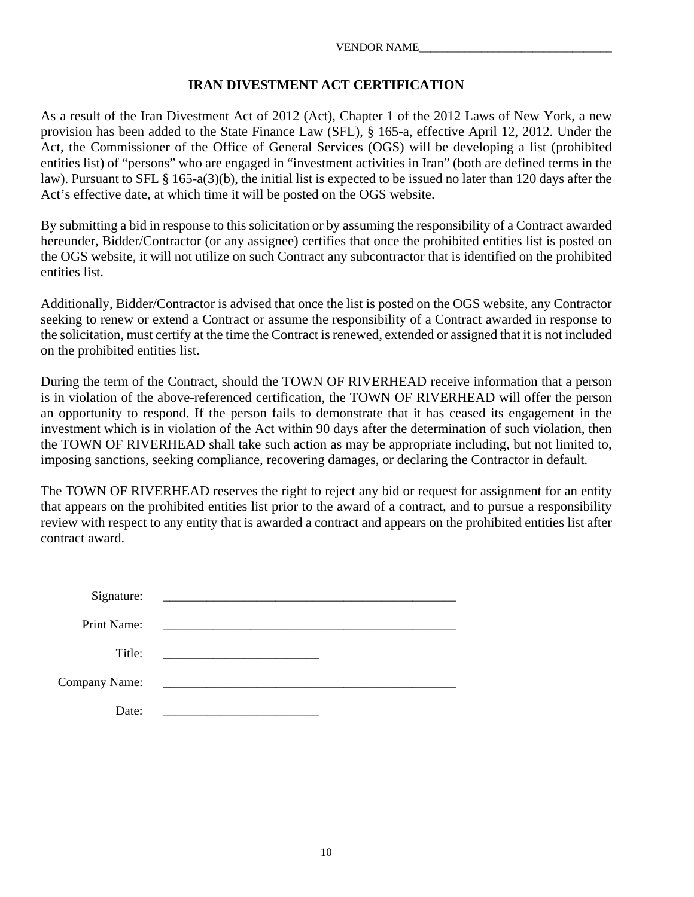#### **IRAN DIVESTMENT ACT CERTIFICATION**

As a result of the Iran Divestment Act of 2012 (Act), Chapter 1 of the 2012 Laws of New York, a new provision has been added to the State Finance Law (SFL), § 165-a, effective April 12, 2012. Under the Act, the Commissioner of the Office of General Services (OGS) will be developing a list (prohibited entities list) of "persons" who are engaged in "investment activities in Iran" (both are defined terms in the law). Pursuant to SFL § 165-a(3)(b), the initial list is expected to be issued no later than 120 days after the Act's effective date, at which time it will be posted on the OGS website.

By submitting a bid in response to this solicitation or by assuming the responsibility of a Contract awarded hereunder, Bidder/Contractor (or any assignee) certifies that once the prohibited entities list is posted on the OGS website, it will not utilize on such Contract any subcontractor that is identified on the prohibited entities list.

Additionally, Bidder/Contractor is advised that once the list is posted on the OGS website, any Contractor seeking to renew or extend a Contract or assume the responsibility of a Contract awarded in response to the solicitation, must certify at the time the Contract is renewed, extended or assigned that it is not included on the prohibited entities list.

During the term of the Contract, should the TOWN OF RIVERHEAD receive information that a person is in violation of the above-referenced certification, the TOWN OF RIVERHEAD will offer the person an opportunity to respond. If the person fails to demonstrate that it has ceased its engagement in the investment which is in violation of the Act within 90 days after the determination of such violation, then the TOWN OF RIVERHEAD shall take such action as may be appropriate including, but not limited to, imposing sanctions, seeking compliance, recovering damages, or declaring the Contractor in default.

The TOWN OF RIVERHEAD reserves the right to reject any bid or request for assignment for an entity that appears on the prohibited entities list prior to the award of a contract, and to pursue a responsibility review with respect to any entity that is awarded a contract and appears on the prohibited entities list after contract award.

| Signature:    |  |
|---------------|--|
| Print Name:   |  |
| Title:        |  |
| Company Name: |  |
| Date:         |  |